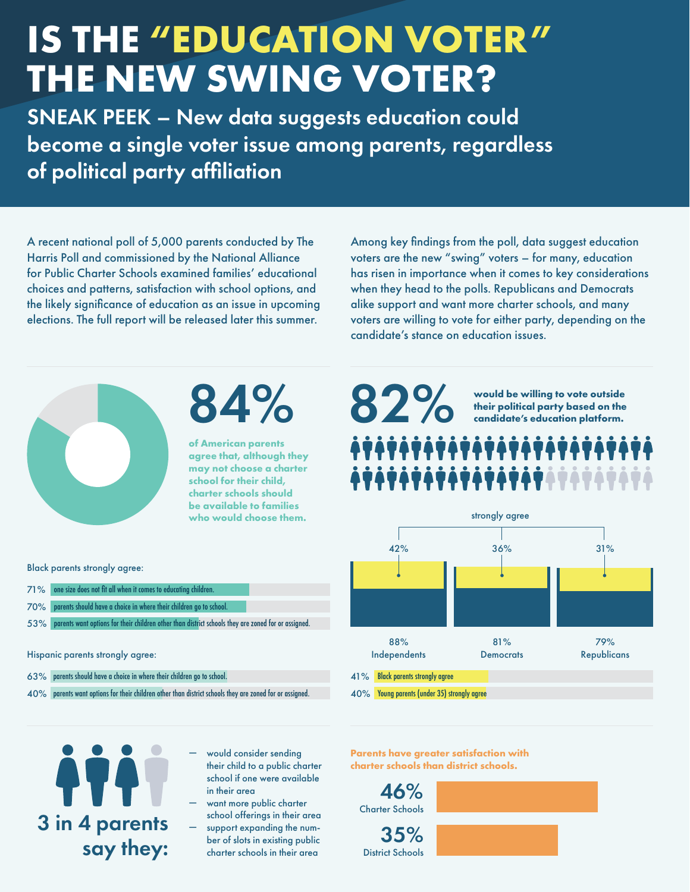## **IS THE "EDUCATION VOTER" THE NEW SWING VOTER?**

SNEAK PEEK – New data suggests education could become a single voter issue among parents, regardless of political party affiliation

A recent national poll of 5,000 parents conducted by The Harris Poll and commissioned by the National Alliance for Public Charter Schools examined families' educational choices and patterns, satisfaction with school options, and the likely significance of education as an issue in upcoming elections. The full report will be released later this summer.

Among key findings from the poll, data suggest education voters are the new "swing" voters – for many, education has risen in importance when it comes to key considerations when they head to the polls. Republicans and Democrats alike support and want more charter schools, and many voters are willing to vote for either party, depending on the candidate's stance on education issues.



Black parents strongly agree:

71 % one size does not fit all when it comes to educating children. parents should have a choice in where their children go to school. 70%

parents should have a choice in where their children go to school. 63%

parents want options for their children other than district schools they are zoned for or assigned. 53%

 $40\%$  parents want options for their children other than district schools they are zoned for or assigned.

Hispanic parents strongly agree:

# 84%

**of American parents agree that, although they may not choose a charter school for their child, charter schools should be available to families who would choose them.**

**would be willing to vote outside their political party based on the** 

**candidate's education platform.** 

### ,,,,,,,,,,,,,,,,, strongly agree 42% 36% 31% 88% 81% 79% Independents **Democrats Republicans**

41% Black parents strongly agree

82%

40% Young parents (under 35) strongly agree

3 in 4 parents say they:

- would consider sending their child to a public charter school if one were available in their area
- want more public charter school offerings in their area
- support expanding the number of slots in existing public charter schools in their area

**Parents have greater satisfaction with charter schools than district schools.**

Charter Schools 46%

District Schools 35%